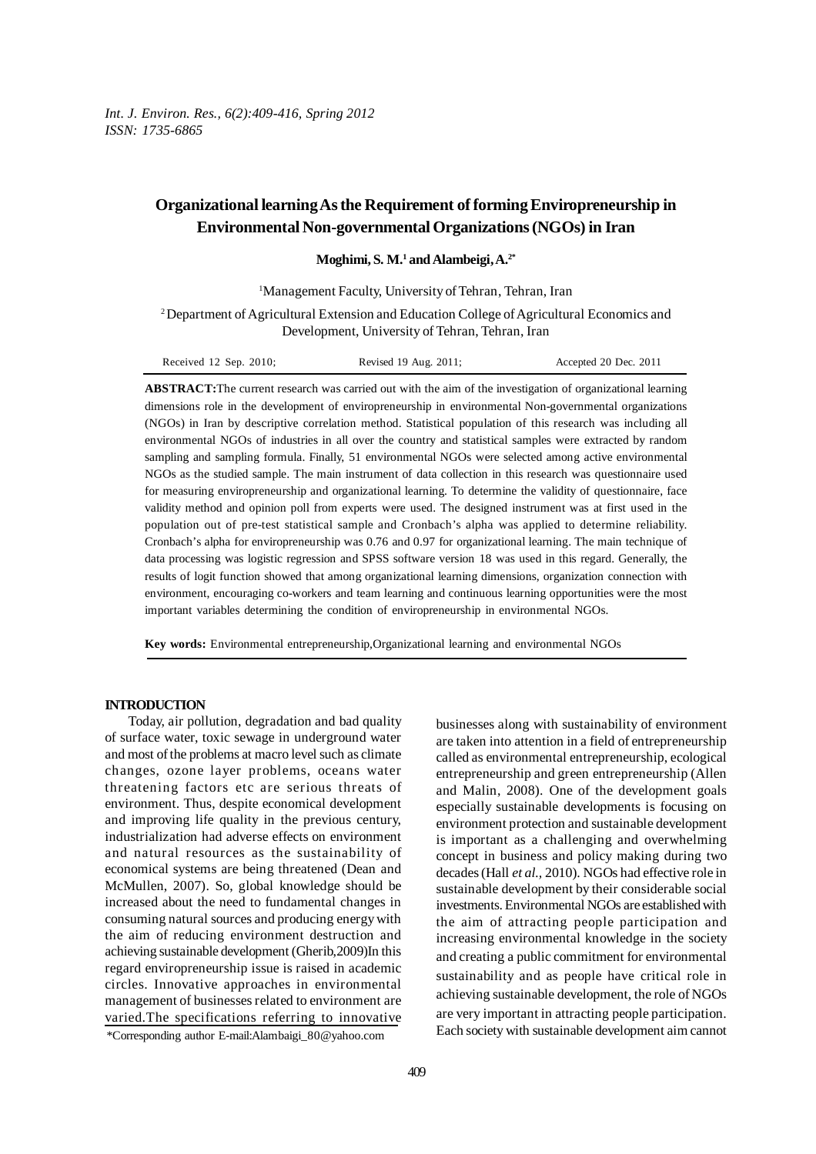*Int. J. Environ. Res., 6(2):409-416, Spring 2012 ISSN: 1735-6865*

# **Organizational learning As the Requirement of forming Enviropreneurship in Environmental Non-governmental Organizations (NGOs) in Iran**

**Moghimi, S. M.1 and Alambeigi, A.2\***

<sup>1</sup>Management Faculty, University of Tehran, Tehran, Iran

2 Department of Agricultural Extension and Education College of Agricultural Economics and Development, University of Tehran, Tehran, Iran

**ABSTRACT:**The current research was carried out with the aim of the investigation of organizational learning dimensions role in the development of enviropreneurship in environmental Non-governmental organizations (NGOs) in Iran by descriptive correlation method. Statistical population of this research was including all environmental NGOs of industries in all over the country and statistical samples were extracted by random sampling and sampling formula. Finally, 51 environmental NGOs were selected among active environmental NGOs as the studied sample. The main instrument of data collection in this research was questionnaire used for measuring enviropreneurship and organizational learning. To determine the validity of questionnaire, face validity method and opinion poll from experts were used. The designed instrument was at first used in the population out of pre-test statistical sample and Cronbach's alpha was applied to determine reliability. Cronbach's alpha for enviropreneurship was 0.76 and 0.97 for organizational learning. The main technique of data processing was logistic regression and SPSS software version 18 was used in this regard. Generally, the results of logit function showed that among organizational learning dimensions, organization connection with environment, encouraging co-workers and team learning and continuous learning opportunities were the most important variables determining the condition of enviropreneurship in environmental NGOs.

**Key words:** Environmental entrepreneurship,Organizational learning and environmental NGOs

#### **INTRODUCTION**

Today, air pollution, degradation and bad quality of surface water, toxic sewage in underground water and most of the problems at macro level such as climate changes, ozone layer problems, oceans water threatening factors etc are serious threats of environment. Thus, despite economical development and improving life quality in the previous century, industrialization had adverse effects on environment and natural resources as the sustainability of economical systems are being threatened (Dean and McMullen, 2007). So, global knowledge should be increased about the need to fundamental changes in consuming natural sources and producing energy with the aim of reducing environment destruction and achieving sustainable development (Gherib,2009)In this regard enviropreneurship issue is raised in academic circles. Innovative approaches in environmental management of businesses related to environment are varied.The specifications referring to innovative

businesses along with sustainability of environment are taken into attention in a field of entrepreneurship called as environmental entrepreneurship, ecological entrepreneurship and green entrepreneurship (Allen and Malin, 2008). One of the development goals especially sustainable developments is focusing on environment protection and sustainable development is important as a challenging and overwhelming concept in business and policy making during two decades (Hall *et al.,* 2010). NGOs had effective role in sustainable development by their considerable social investments. Environmental NGOs are established with the aim of attracting people participation and increasing environmental knowledge in the society and creating a public commitment for environmental sustainability and as people have critical role in achieving sustainable development, the role of NGOs are very important in attracting people participation. Each society with sustainable development aim cannot

<sup>\*</sup>Corresponding author E-mail:Alambaigi\_80@yahoo.com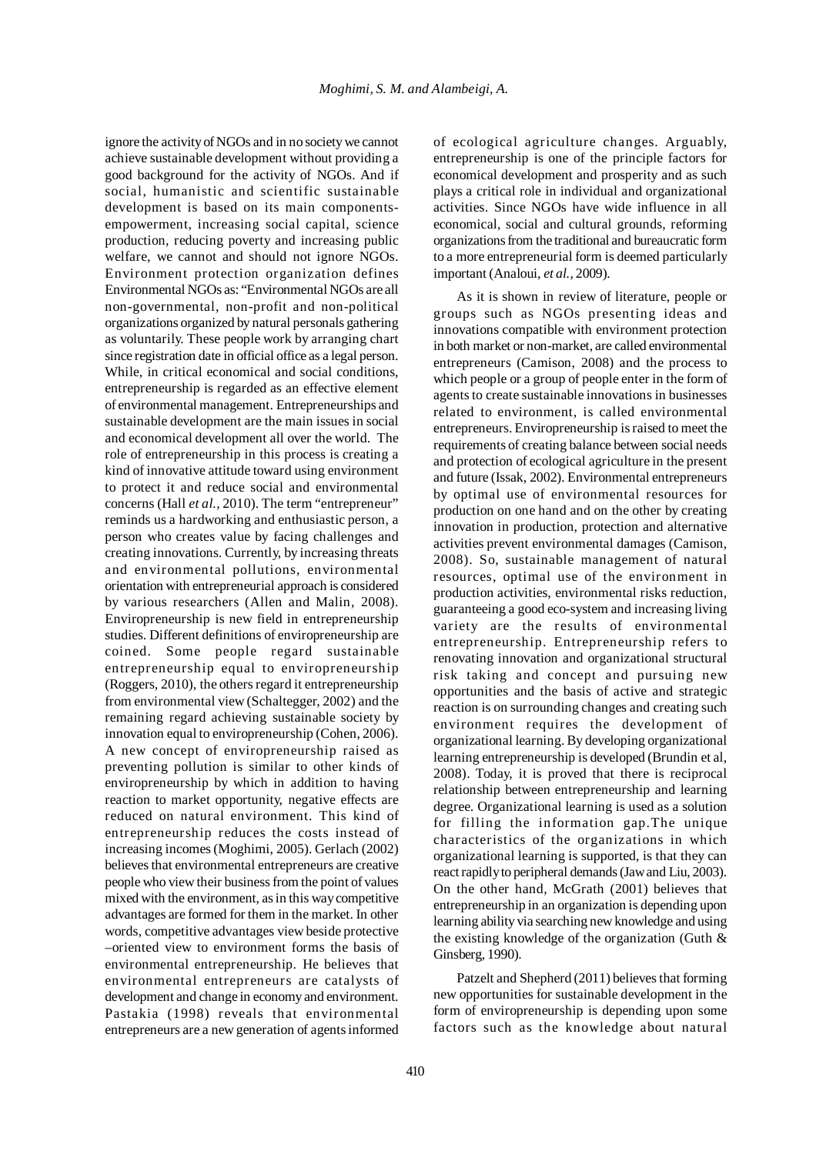ignore the activity of NGOs and in no society we cannot achieve sustainable development without providing a good background for the activity of NGOs. And if social, humanistic and scientific sustainable development is based on its main componentsempowerment, increasing social capital, science production, reducing poverty and increasing public welfare, we cannot and should not ignore NGOs. Environment protection organization defines Environmental NGOs as: "Environmental NGOs are all non-governmental, non-profit and non-political organizations organized by natural personals gathering as voluntarily. These people work by arranging chart since registration date in official office as a legal person. While, in critical economical and social conditions, entrepreneurship is regarded as an effective element of environmental management. Entrepreneurships and sustainable development are the main issues in social and economical development all over the world. The role of entrepreneurship in this process is creating a kind of innovative attitude toward using environment to protect it and reduce social and environmental concerns (Hall *et al.,* 2010). The term "entrepreneur" reminds us a hardworking and enthusiastic person, a person who creates value by facing challenges and creating innovations. Currently, by increasing threats and environmental pollutions, environmental orientation with entrepreneurial approach is considered by various researchers (Allen and Malin, 2008). Enviropreneurship is new field in entrepreneurship studies. Different definitions of enviropreneurship are coined. Some people regard sustainable entrepreneurship equal to enviropreneurship (Roggers, 2010), the others regard it entrepreneurship from environmental view (Schaltegger, 2002) and the remaining regard achieving sustainable society by innovation equal to enviropreneurship (Cohen, 2006). A new concept of enviropreneurship raised as preventing pollution is similar to other kinds of enviropreneurship by which in addition to having reaction to market opportunity, negative effects are reduced on natural environment. This kind of entrepreneurship reduces the costs instead of increasing incomes (Moghimi, 2005). Gerlach (2002) believes that environmental entrepreneurs are creative people who view their business from the point of values mixed with the environment, as in this way competitive advantages are formed for them in the market. In other words, competitive advantages view beside protective –oriented view to environment forms the basis of environmental entrepreneurship. He believes that environmental entrepreneurs are catalysts of development and change in economy and environment. Pastakia (1998) reveals that environmental entrepreneurs are a new generation of agents informed

of ecological agriculture changes. Arguably, entrepreneurship is one of the principle factors for economical development and prosperity and as such plays a critical role in individual and organizational activities. Since NGOs have wide influence in all economical, social and cultural grounds, reforming organizations from the traditional and bureaucratic form to a more entrepreneurial form is deemed particularly important (Analoui, *et al.,* 2009).

As it is shown in review of literature, people or groups such as NGOs presenting ideas and innovations compatible with environment protection in both market or non-market, are called environmental entrepreneurs (Camison, 2008) and the process to which people or a group of people enter in the form of agents to create sustainable innovations in businesses related to environment, is called environmental entrepreneurs. Enviropreneurship is raised to meet the requirements of creating balance between social needs and protection of ecological agriculture in the present and future (Issak, 2002). Environmental entrepreneurs by optimal use of environmental resources for production on one hand and on the other by creating innovation in production, protection and alternative activities prevent environmental damages (Camison, 2008). So, sustainable management of natural resources, optimal use of the environment in production activities, environmental risks reduction, guaranteeing a good eco-system and increasing living variety are the results of environmental entrepreneurship. Entrepreneurship refers to renovating innovation and organizational structural risk taking and concept and pursuing new opportunities and the basis of active and strategic reaction is on surrounding changes and creating such environment requires the development of organizational learning. By developing organizational learning entrepreneurship is developed (Brundin et al, 2008). Today, it is proved that there is reciprocal relationship between entrepreneurship and learning degree. Organizational learning is used as a solution for filling the information gap.The unique characteristics of the organizations in which organizational learning is supported, is that they can react rapidly to peripheral demands (Jaw and Liu, 2003). On the other hand, McGrath (2001) believes that entrepreneurship in an organization is depending upon learning ability via searching new knowledge and using the existing knowledge of the organization (Guth & Ginsberg, 1990).

Patzelt and Shepherd (2011) believes that forming new opportunities for sustainable development in the form of enviropreneurship is depending upon some factors such as the knowledge about natural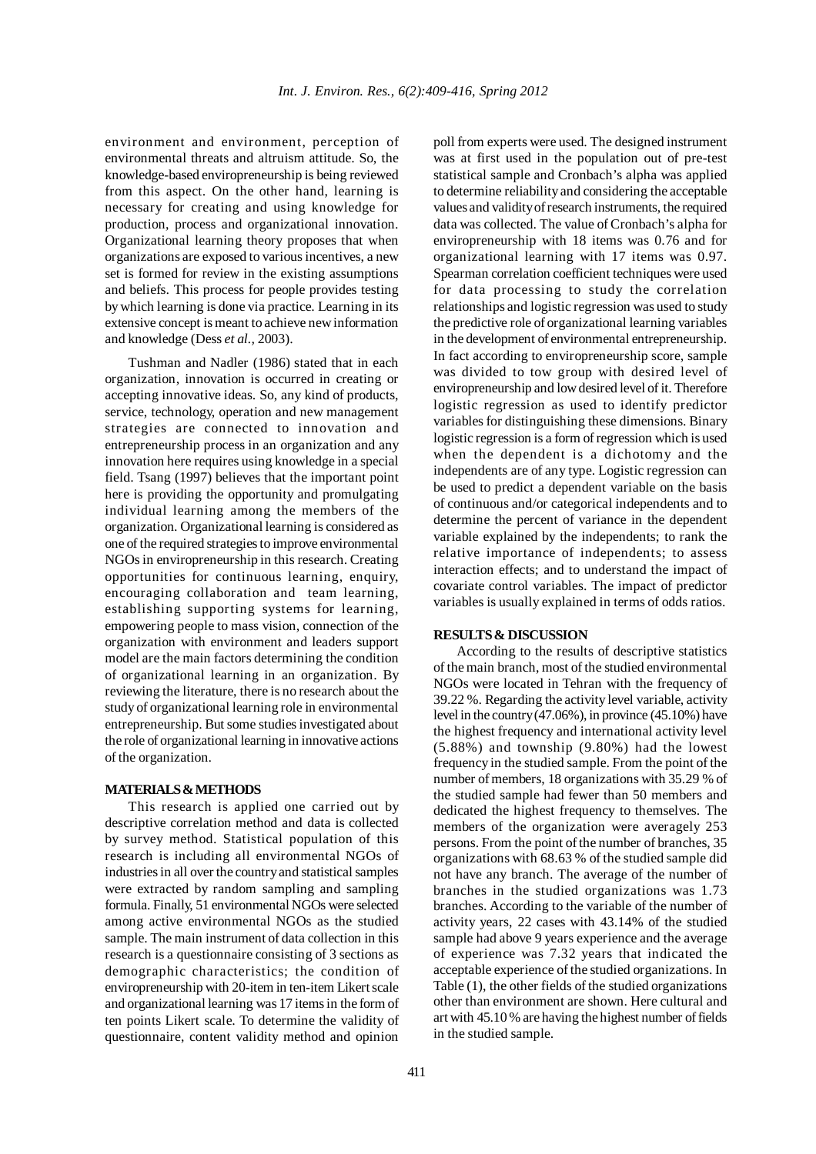environment and environment, perception of environmental threats and altruism attitude. So, the knowledge-based enviropreneurship is being reviewed from this aspect. On the other hand, learning is necessary for creating and using knowledge for production, process and organizational innovation. Organizational learning theory proposes that when organizations are exposed to various incentives, a new set is formed for review in the existing assumptions and beliefs. This process for people provides testing by which learning is done via practice. Learning in its extensive concept is meant to achieve new information and knowledge (Dess *et al.,* 2003).

Tushman and Nadler (1986) stated that in each organization, innovation is occurred in creating or accepting innovative ideas. So, any kind of products, service, technology, operation and new management strategies are connected to innovation and entrepreneurship process in an organization and any innovation here requires using knowledge in a special field. Tsang (1997) believes that the important point here is providing the opportunity and promulgating individual learning among the members of the organization. Organizational learning is considered as one of the required strategies to improve environmental NGOs in enviropreneurship in this research. Creating opportunities for continuous learning, enquiry, encouraging collaboration and team learning, establishing supporting systems for learning, empowering people to mass vision, connection of the organization with environment and leaders support model are the main factors determining the condition of organizational learning in an organization. By reviewing the literature, there is no research about the study of organizational learning role in environmental entrepreneurship. But some studies investigated about the role of organizational learning in innovative actions of the organization.

### **MATERIALS & METHODS**

This research is applied one carried out by descriptive correlation method and data is collected by survey method. Statistical population of this research is including all environmental NGOs of industries in all over the country and statistical samples were extracted by random sampling and sampling formula. Finally, 51 environmental NGOs were selected among active environmental NGOs as the studied sample. The main instrument of data collection in this research is a questionnaire consisting of 3 sections as demographic characteristics; the condition of enviropreneurship with 20-item in ten-item Likert scale and organizational learning was 17 items in the form of ten points Likert scale. To determine the validity of questionnaire, content validity method and opinion

poll from experts were used. The designed instrument was at first used in the population out of pre-test statistical sample and Cronbach's alpha was applied to determine reliability and considering the acceptable values and validity of research instruments, the required data was collected. The value of Cronbach's alpha for enviropreneurship with 18 items was 0.76 and for organizational learning with 17 items was 0.97. Spearman correlation coefficient techniques were used for data processing to study the correlation relationships and logistic regression was used to study the predictive role of organizational learning variables in the development of environmental entrepreneurship. In fact according to enviropreneurship score, sample was divided to tow group with desired level of enviropreneurship and low desired level of it. Therefore logistic regression as used to identify predictor variables for distinguishing these dimensions. Binary logistic regression is a form of regression which is used when the dependent is a dichotomy and the independents are of any type. Logistic regression can be used to predict a dependent variable on the basis of continuous and/or categorical independents and to determine the percent of variance in the dependent variable explained by the independents; to rank the relative importance of independents; to assess interaction effects; and to understand the impact of covariate control variables. The impact of predictor variables is usually explained in terms of odds ratios.

## **RESULTS & DISCUSSION**

According to the results of descriptive statistics of the main branch, most of the studied environmental NGOs were located in Tehran with the frequency of 39.22 %. Regarding the activity level variable, activity level in the country (47.06%), in province (45.10%) have the highest frequency and international activity level (5.88%) and township (9.80%) had the lowest frequency in the studied sample. From the point of the number of members, 18 organizations with 35.29 % of the studied sample had fewer than 50 members and dedicated the highest frequency to themselves. The members of the organization were averagely 253 persons. From the point of the number of branches, 35 organizations with 68.63 % of the studied sample did not have any branch. The average of the number of branches in the studied organizations was 1.73 branches. According to the variable of the number of activity years, 22 cases with 43.14% of the studied sample had above 9 years experience and the average of experience was 7.32 years that indicated the acceptable experience of the studied organizations. In Table (1), the other fields of the studied organizations other than environment are shown. Here cultural and art with 45.10 % are having the highest number of fields in the studied sample.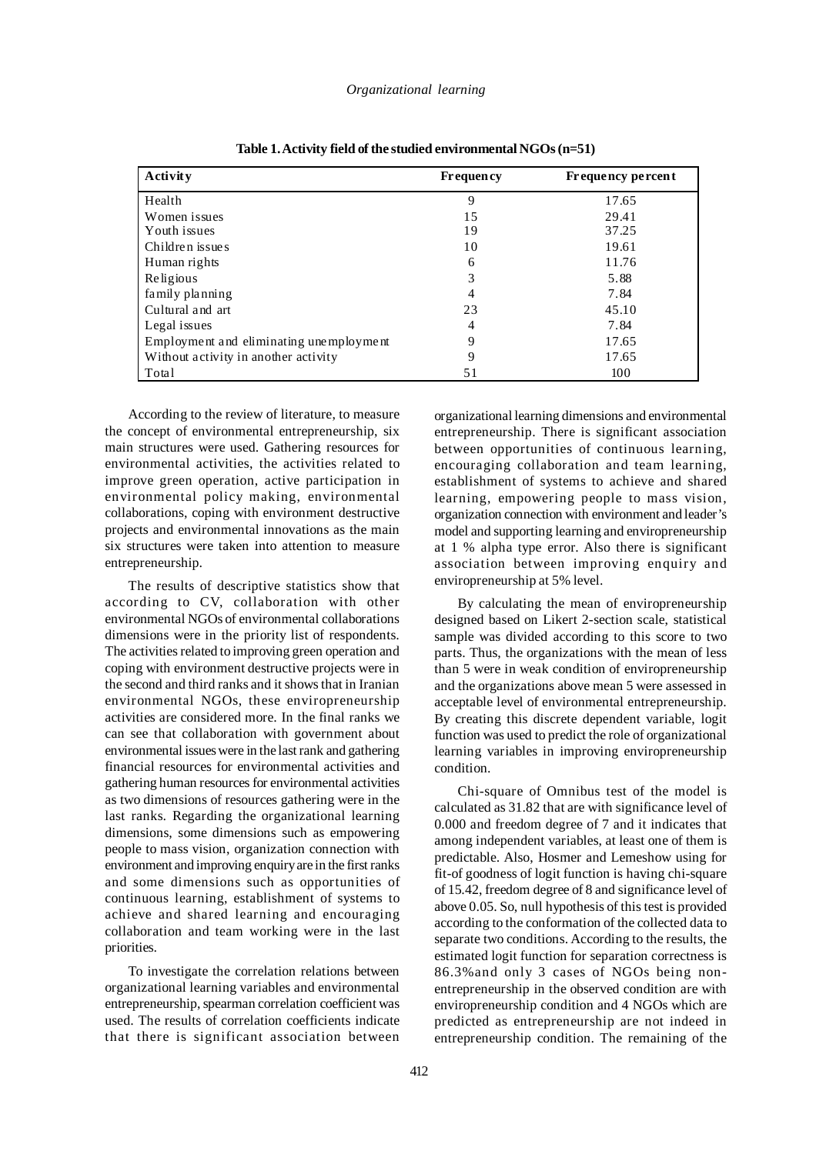| <b>Activity</b>                         | <b>Frequency</b> | Frequency percent |
|-----------------------------------------|------------------|-------------------|
| Health                                  | 9                | 17.65             |
| Women issues                            | 15               | 29.41             |
| Youth issues                            | 19               | 37.25             |
| Children issues                         | 10               | 19.61             |
| Human rights                            | 6                | 11.76             |
| Religious                               | 3                | 5.88              |
| family planning                         | 4                | 7.84              |
| Cultural and art                        | 23               | 45.10             |
| Legal issues                            | 4                | 7.84              |
| Employment and eliminating unemployment | 9                | 17.65             |
| Without activity in another activity    | 9                | 17.65             |
| Total                                   | 51               | 100               |

**Table 1. Activity field of the studied environmental NGOs (n=51)**

According to the review of literature, to measure the concept of environmental entrepreneurship, six main structures were used. Gathering resources for environmental activities, the activities related to improve green operation, active participation in environmental policy making, environmental collaborations, coping with environment destructive projects and environmental innovations as the main six structures were taken into attention to measure entrepreneurship.

The results of descriptive statistics show that according to CV, collaboration with other environmental NGOs of environmental collaborations dimensions were in the priority list of respondents. The activities related to improving green operation and coping with environment destructive projects were in the second and third ranks and it shows that in Iranian environmental NGOs, these enviropreneurship activities are considered more. In the final ranks we can see that collaboration with government about environmental issues were in the last rank and gathering financial resources for environmental activities and gathering human resources for environmental activities as two dimensions of resources gathering were in the last ranks. Regarding the organizational learning dimensions, some dimensions such as empowering people to mass vision, organization connection with environment and improving enquiry are in the first ranks and some dimensions such as opportunities of continuous learning, establishment of systems to achieve and shared learning and encouraging collaboration and team working were in the last priorities.

To investigate the correlation relations between organizational learning variables and environmental entrepreneurship, spearman correlation coefficient was used. The results of correlation coefficients indicate that there is significant association between

organizational learning dimensions and environmental entrepreneurship. There is significant association between opportunities of continuous learning, encouraging collaboration and team learning, establishment of systems to achieve and shared learning, empowering people to mass vision, organization connection with environment and leader's model and supporting learning and enviropreneurship at 1 % alpha type error. Also there is significant association between improving enquiry and enviropreneurship at 5% level.

By calculating the mean of enviropreneurship designed based on Likert 2-section scale, statistical sample was divided according to this score to two parts. Thus, the organizations with the mean of less than 5 were in weak condition of enviropreneurship and the organizations above mean 5 were assessed in acceptable level of environmental entrepreneurship. By creating this discrete dependent variable, logit function was used to predict the role of organizational learning variables in improving enviropreneurship condition.

Chi-square of Omnibus test of the model is calculated as 31.82 that are with significance level of 0.000 and freedom degree of 7 and it indicates that among independent variables, at least one of them is predictable. Also, Hosmer and Lemeshow using for fit-of goodness of logit function is having chi-square of 15.42, freedom degree of 8 and significance level of above 0.05. So, null hypothesis of this test is provided according to the conformation of the collected data to separate two conditions. According to the results, the estimated logit function for separation correctness is 86.3%and only 3 cases of NGOs being nonentrepreneurship in the observed condition are with enviropreneurship condition and 4 NGOs which are predicted as entrepreneurship are not indeed in entrepreneurship condition. The remaining of the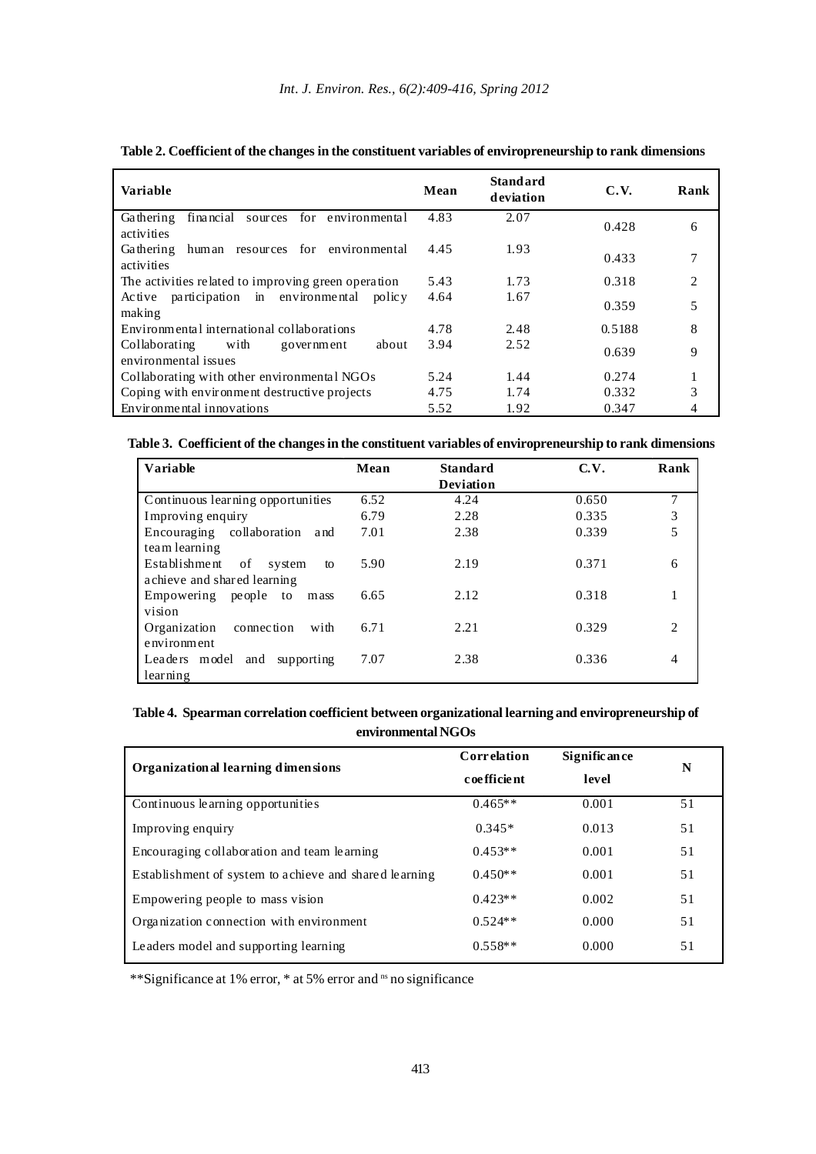| <b>Variable</b>                                                             | Mean | <b>Standard</b><br>deviation | C.V.   | Rank           |
|-----------------------------------------------------------------------------|------|------------------------------|--------|----------------|
| financial sources for environmental<br>Gathering<br>activities              | 4.83 | 2.07                         | 0.428  | 6              |
| human resources for environmental<br>Gathering<br>activities                | 4.45 | 1.93                         | 0.433  | 7              |
| The activities related to improving green operation                         | 5.43 | 1.73                         | 0.318  | $\overline{2}$ |
| participation in environmental<br>$Ac$ tive<br>polic <sub>y</sub><br>making | 4.64 | 1.67                         | 0.359  | 5              |
| Environmental international collaborations                                  | 4.78 | 2.48                         | 0.5188 | 8              |
| Collaborating<br>with<br>about<br>government<br>environmental issues        | 3.94 | 2.52                         | 0.639  | 9              |
| Collaborating with other environmental NGOs                                 | 5.24 | 1.44                         | 0.274  | 1              |
| Coping with environment destructive projects                                | 4.75 | 1.74                         | 0.332  | 3              |
| Environmental innovations                                                   | 5.52 | 1.92                         | 0.347  | 4              |

**Table 2. Coefficient of the changes in the constituent variables of enviropreneurship to rank dimensions**

**Table 3. Coefficient of the changes in the constituent variables of enviropreneurship to rank dimensions**

| Variable                            | Mean | <b>Standard</b>  | C.V.  | Rank           |
|-------------------------------------|------|------------------|-------|----------------|
|                                     |      | <b>Deviation</b> |       |                |
| Continuous learning opportunities   | 6.52 | 4.24             | 0.650 | 7              |
| Improving enquiry                   | 6.79 | 2.28             | 0.335 | 3              |
| Encouraging collaboration<br>and    | 7.01 | 2.38             | 0.339 | 5              |
| team learning                       |      |                  |       |                |
| Establishment<br>of<br>system<br>to | 5.90 | 2.19             | 0.371 | 6              |
| achieve and shared learning         |      |                  |       |                |
| Empowering people to<br>mass        | 6.65 | 2.12             | 0.318 |                |
| vision                              |      |                  |       |                |
| Organization<br>connection<br>with  | 6.71 | 2.21             | 0.329 | $\overline{c}$ |
| environment                         |      |                  |       |                |
| Leaders model<br>and<br>supporting  | 7.07 | 2.38             | 0.336 | 4              |
| learning                            |      |                  |       |                |

**Table 4. Spearman correlation coefficient between organizational learning and enviropreneurship of environmental NGOs**

| Organizational learning dimensions                     | Correlation | Signific an ce | N  |  |
|--------------------------------------------------------|-------------|----------------|----|--|
|                                                        | coefficient | level          |    |  |
| Continuous learning opportunities                      | $0.465**$   | 0.001          | 51 |  |
| Improving enquiry                                      | $0.345*$    | 0.013          | 51 |  |
| Encouraging collaboration and team learning            | $0.453**$   | 0.001          | 51 |  |
| Establishment of system to achieve and shared learning | $0.450**$   | 0.001          | 51 |  |
| Empowering people to mass vision                       | $0.423**$   | 0.002          | 51 |  |
| Organization connection with environment               | $0.524**$   | 0.000          | 51 |  |
| Leaders model and supporting learning                  | $0.558**$   | 0.000          | 51 |  |

\*\*Significance at 1% error, \* at 5% error and ns no significance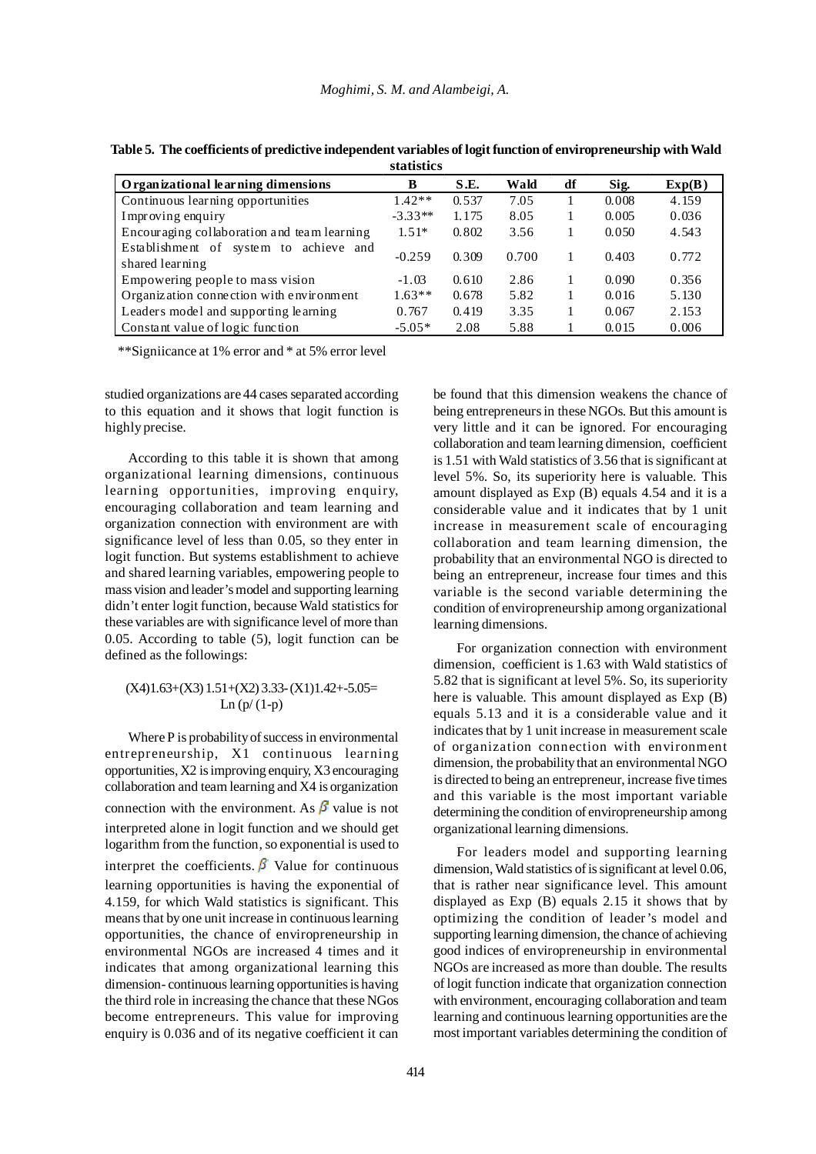|                                                           | statistics |       |       |    |       |        |
|-----------------------------------------------------------|------------|-------|-------|----|-------|--------|
| Organizational learning dimensions                        | B          | S.E.  | Wald  | df | Sig.  | Exp(B) |
| Continuous learning opportunities                         | $1.42**$   | 0.537 | 7.05  |    | 0.008 | 4.159  |
| Improving enquiry                                         | $-3.33**$  | 1.175 | 8.05  |    | 0.005 | 0.036  |
| Encouraging collaboration and team learning               | $1.51*$    | 0.802 | 3.56  |    | 0.050 | 4.543  |
| Establishment of system to achieve and<br>shared learning | $-0.259$   | 0.309 | 0.700 |    | 0.403 | 0.772  |
| Empowering people to mass vision                          | $-1.03$    | 0.610 | 2.86  |    | 0.090 | 0.356  |
| Organization connection with environment                  | $1.63**$   | 0.678 | 5.82  |    | 0.016 | 5.130  |
| Leaders model and supporting learning                     | 0.767      | 0.419 | 3.35  |    | 0.067 | 2.153  |
| Constant value of logic function                          | $-5.05*$   | 2.08  | 5.88  |    | 0.015 | 0.006  |

**Table 5. The coefficients of predictive independent variables of logit function of enviropreneurship with Wald**

\*\*Signiicance at 1% error and \* at 5% error level

studied organizations are 44 cases separated according to this equation and it shows that logit function is highly precise.

According to this table it is shown that among organizational learning dimensions, continuous learning opportunities, improving enquiry, encouraging collaboration and team learning and organization connection with environment are with significance level of less than 0.05, so they enter in logit function. But systems establishment to achieve and shared learning variables, empowering people to mass vision and leader's model and supporting learning didn't enter logit function, because Wald statistics for these variables are with significance level of more than 0.05. According to table (5), logit function can be defined as the followings:

## $(X4)1.63+(X3)1.51+(X2)3.33-(X1)1.42+5.05=$ Ln  $(p/(1-p))$

Where P is probability of success in environmental entrepreneurship, X1 continuous learning opportunities, X2 is improving enquiry, X3 encouraging collaboration and team learning and X4 is organization connection with the environment. As  $\beta$  value is not interpreted alone in logit function and we should get logarithm from the function, so exponential is used to interpret the coefficients.  $\beta$  Value for continuous learning opportunities is having the exponential of 4.159, for which Wald statistics is significant. This means that by one unit increase in continuous learning opportunities, the chance of enviropreneurship in environmental NGOs are increased 4 times and it indicates that among organizational learning this dimension- continuous learning opportunities is having the third role in increasing the chance that these NGos become entrepreneurs. This value for improving enquiry is 0.036 and of its negative coefficient it can

be found that this dimension weakens the chance of being entrepreneurs in these NGOs. But this amount is very little and it can be ignored. For encouraging collaboration and team learning dimension, coefficient is 1.51 with Wald statistics of 3.56 that is significant at level 5%. So, its superiority here is valuable. This amount displayed as Exp (B) equals 4.54 and it is a considerable value and it indicates that by 1 unit increase in measurement scale of encouraging collaboration and team learning dimension, the probability that an environmental NGO is directed to being an entrepreneur, increase four times and this variable is the second variable determining the condition of enviropreneurship among organizational learning dimensions.

For organization connection with environment dimension, coefficient is 1.63 with Wald statistics of 5.82 that is significant at level 5%. So, its superiority here is valuable. This amount displayed as Exp (B) equals 5.13 and it is a considerable value and it indicates that by 1 unit increase in measurement scale of organization connection with environment dimension, the probability that an environmental NGO is directed to being an entrepreneur, increase five times and this variable is the most important variable determining the condition of enviropreneurship among organizational learning dimensions.

For leaders model and supporting learning dimension, Wald statistics of is significant at level 0.06, that is rather near significance level. This amount displayed as Exp (B) equals 2.15 it shows that by optimizing the condition of leader's model and supporting learning dimension, the chance of achieving good indices of enviropreneurship in environmental NGOs are increased as more than double. The results of logit function indicate that organization connection with environment, encouraging collaboration and team learning and continuous learning opportunities are the most important variables determining the condition of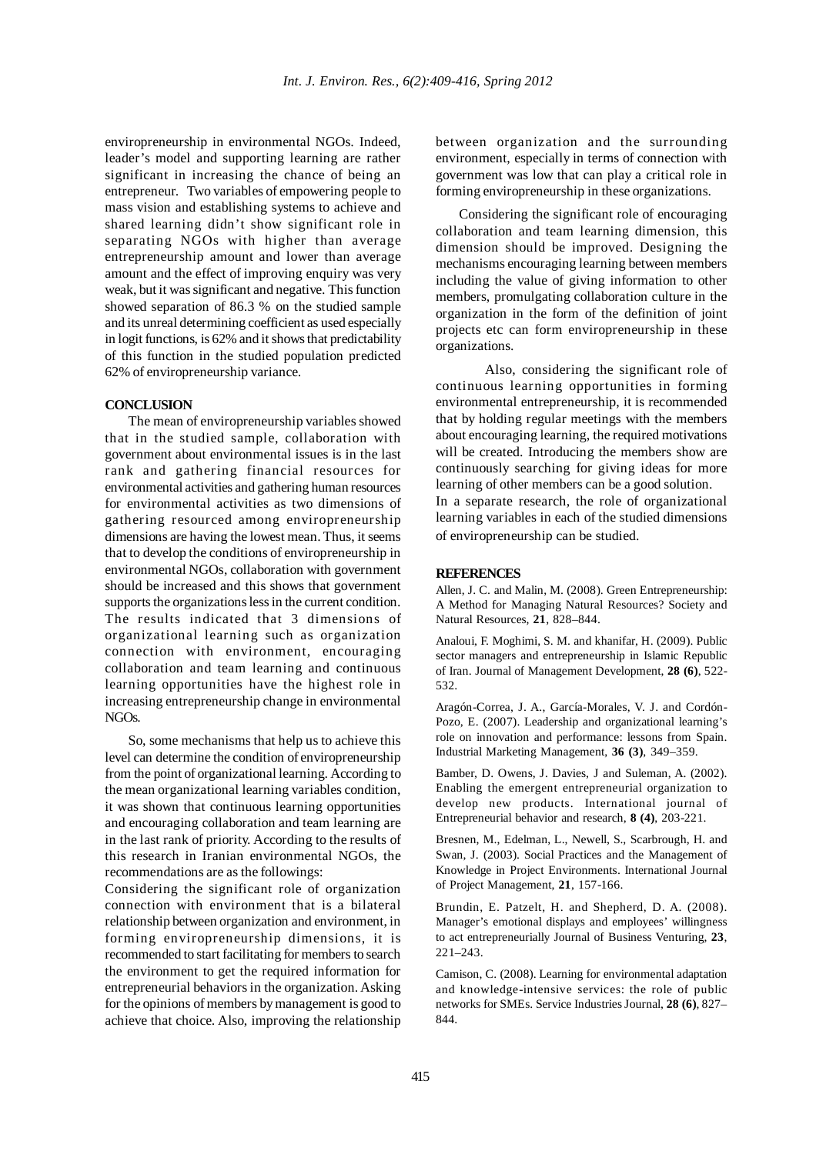enviropreneurship in environmental NGOs. Indeed, leader's model and supporting learning are rather significant in increasing the chance of being an entrepreneur. Two variables of empowering people to mass vision and establishing systems to achieve and shared learning didn't show significant role in separating NGOs with higher than average entrepreneurship amount and lower than average amount and the effect of improving enquiry was very weak, but it was significant and negative. This function showed separation of 86.3 % on the studied sample and its unreal determining coefficient as used especially in logit functions, is 62% and it shows that predictability of this function in the studied population predicted 62% of enviropreneurship variance.

#### **CONCLUSION**

The mean of enviropreneurship variables showed that in the studied sample, collaboration with government about environmental issues is in the last rank and gathering financial resources for environmental activities and gathering human resources for environmental activities as two dimensions of gathering resourced among enviropreneurship dimensions are having the lowest mean. Thus, it seems that to develop the conditions of enviropreneurship in environmental NGOs, collaboration with government should be increased and this shows that government supports the organizations less in the current condition. The results indicated that 3 dimensions of organizational learning such as organization connection with environment, encouraging collaboration and team learning and continuous learning opportunities have the highest role in increasing entrepreneurship change in environmental NGOs.

So, some mechanisms that help us to achieve this level can determine the condition of enviropreneurship from the point of organizational learning. According to the mean organizational learning variables condition, it was shown that continuous learning opportunities and encouraging collaboration and team learning are in the last rank of priority. According to the results of this research in Iranian environmental NGOs, the recommendations are as the followings:

Considering the significant role of organization connection with environment that is a bilateral relationship between organization and environment, in forming enviropreneurship dimensions, it is recommended to start facilitating for members to search the environment to get the required information for entrepreneurial behaviors in the organization. Asking for the opinions of members by management is good to achieve that choice. Also, improving the relationship between organization and the surrounding environment, especially in terms of connection with government was low that can play a critical role in forming enviropreneurship in these organizations.

Considering the significant role of encouraging collaboration and team learning dimension, this dimension should be improved. Designing the mechanisms encouraging learning between members including the value of giving information to other members, promulgating collaboration culture in the organization in the form of the definition of joint projects etc can form enviropreneurship in these organizations.

Also, considering the significant role of continuous learning opportunities in forming environmental entrepreneurship, it is recommended that by holding regular meetings with the members about encouraging learning, the required motivations will be created. Introducing the members show are continuously searching for giving ideas for more learning of other members can be a good solution. In a separate research, the role of organizational learning variables in each of the studied dimensions of enviropreneurship can be studied.

#### **REFERENCES**

Allen, J. C. and Malin, M. (2008). Green Entrepreneurship: A Method for Managing Natural Resources? Society and Natural Resources, **21**, 828–844.

Analoui, F. Moghimi, S. M. and khanifar, H. (2009). Public sector managers and entrepreneurship in Islamic Republic of Iran. Journal of Management Development, **28 (6)**, 522- 532.

Aragón-Correa, J. A., García-Morales, V. J. and Cordón-Pozo, E. (2007). Leadership and organizational learning's role on innovation and performance: lessons from Spain. Industrial Marketing Management, **36 (3)**, 349–359.

Bamber, D. Owens, J. Davies, J and Suleman, A. (2002). Enabling the emergent entrepreneurial organization to develop new products. International journal of Entrepreneurial behavior and research, **8 (4)**, 203-221.

Bresnen, M., Edelman, L., Newell, S., Scarbrough, H. and Swan, J. (2003). Social Practices and the Management of Knowledge in Project Environments. International Journal of Project Management, **21**, 157-166.

Brundin, E. Patzelt, H. and Shepherd, D. A. (2008). Manager's emotional displays and employees' willingness to act entrepreneurially Journal of Business Venturing, **23**, 221–243.

Camison, C. (2008). Learning for environmental adaptation and knowledge-intensive services: the role of public networks for SMEs. Service Industries Journal, **28 (6)**, 827– 844.